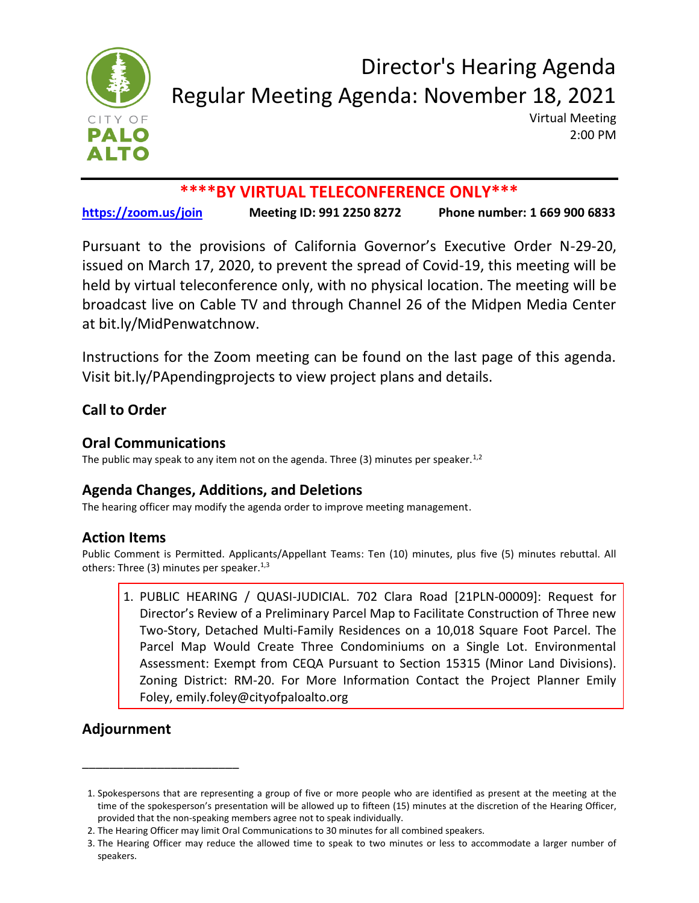

## Director's Hearing Agenda Regular Meeting Agenda: November 18, 2021

Virtual Meeting 2:00 PM

## **\*\*\*\*BY VIRTUAL TELECONFERENCE ONLY\*\*\***

**<https://zoom.us/join> Meeting ID: 991 2250 8272 Phone number: 1 669 900 6833**

Pursuant to the provisions of California Governor's Executive Order N-29-20, issued on March 17, 2020, to prevent the spread of Covid-19, this meeting will be held by virtual teleconference only, with no physical location. The meeting will be broadcast live on Cable TV and through Channel 26 of the Midpen Media Center at bit.ly/MidPenwatchnow.

Instructions for the Zoom meeting can be found on the last page of this agenda. Visit bit.ly/PApendingprojects to view project plans and details.

### **Call to Order**

#### **Oral Communications**

The public may speak to any item not on the agenda. Three  $(3)$  minutes per speaker.<sup>1,2</sup>

### **Agenda Changes, Additions, and Deletions**

The hearing officer may modify the agenda order to improve meeting management.

### **Action Items**

Public Comment is Permitted. Applicants/Appellant Teams: Ten (10) minutes, plus five (5) minutes rebuttal. All others: Three (3) minutes per speaker.<sup>1,3</sup>

1. [PUBLIC HEARING / QUASI-JUDICIAL. 702 Clara Road \[21PLN-00009\]: Request for](https://www.cityofpaloalto.org/files/assets/public/agendas-minutes-reports/agendas-minutes/directors-hearing/2021/dh-11.18-702-clara.pdf) Director's Review of a Preliminary Parcel Map to Facilitate Construction of Three new Two-Story, Detached Multi-Family Residences on a 10,018 Square Foot Parcel. The Parcel Map Would Create Three Condominiums on a Single Lot. Environmental Assessment: Exempt from CEQA Pursuant to Section 15315 (Minor Land Divisions). Zoning District: RM-20. For More Information Contact the Project Planner Emily Foley, emily.foley@cityofpaloalto.org

## **Adjournment**

\_\_\_\_\_\_\_\_\_\_\_\_\_\_\_\_\_\_\_\_\_\_\_

<sup>1.</sup> Spokespersons that are representing a group of five or more people who are identified as present at the meeting at the time of the spokesperson's presentation will be allowed up to fifteen (15) minutes at the discretion of the Hearing Officer, provided that the non-speaking members agree not to speak individually.

<sup>2.</sup> The Hearing Officer may limit Oral Communications to 30 minutes for all combined speakers.

<sup>3.</sup> The Hearing Officer may reduce the allowed time to speak to two minutes or less to accommodate a larger number of speakers.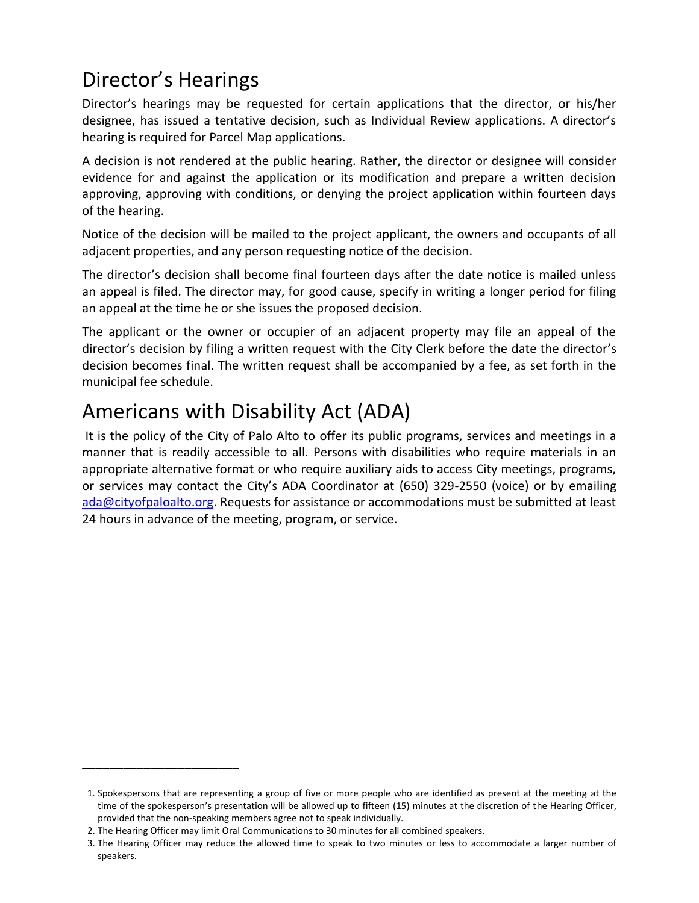# Director's Hearings

Director's hearings may be requested for certain applications that the director, or his/her designee, has issued a tentative decision, such as Individual Review applications. A director's hearing is required for Parcel Map applications.

A decision is not rendered at the public hearing. Rather, the director or designee will consider evidence for and against the application or its modification and prepare a written decision approving, approving with conditions, or denying the project application within fourteen days of the hearing.

Notice of the decision will be mailed to the project applicant, the owners and occupants of all adjacent properties, and any person requesting notice of the decision.

The director's decision shall become final fourteen days after the date notice is mailed unless an appeal is filed. The director may, for good cause, specify in writing a longer period for filing an appeal at the time he or she issues the proposed decision.

The applicant or the owner or occupier of an adjacent property may file an appeal of the director's decision by filing a written request with the City Clerk before the date the director's decision becomes final. The written request shall be accompanied by a fee, as set forth in the municipal fee schedule.

## Americans with Disability Act (ADA)

It is the policy of the City of Palo Alto to offer its public programs, services and meetings in a manner that is readily accessible to all. Persons with disabilities who require materials in an appropriate alternative format or who require auxiliary aids to access City meetings, programs, or services may contact the City's ADA Coordinator at (650) 329-2550 (voice) or by emailing [ada@cityofpaloalto.org.](ada@cityofpaloalto.org) Requests for assistance or accommodations must be submitted at least 24 hours in advance of the meeting, program, or service.

\_\_\_\_\_\_\_\_\_\_\_\_\_\_\_\_\_\_\_\_\_\_\_

<sup>1.</sup> Spokespersons that are representing a group of five or more people who are identified as present at the meeting at the time of the spokesperson's presentation will be allowed up to fifteen (15) minutes at the discretion of the Hearing Officer, provided that the non-speaking members agree not to speak individually.

<sup>2.</sup> The Hearing Officer may limit Oral Communications to 30 minutes for all combined speakers.

<sup>3.</sup> The Hearing Officer may reduce the allowed time to speak to two minutes or less to accommodate a larger number of speakers.